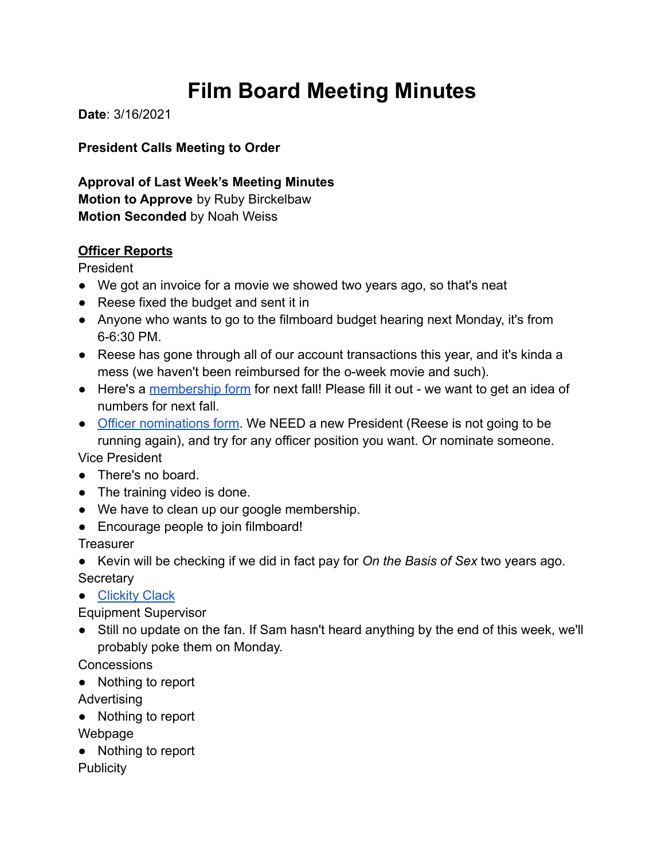# **Film Board Meeting Minutes**

**Date**: 3/16/2021

**President Calls Meeting to Order**

**Approval of Last Week's Meeting Minutes Motion to Approve** by Ruby Birckelbaw **Motion Seconded** by Noah Weiss

# **Officer Reports**

President

- We got an invoice for a movie we showed two years ago, so that's neat
- Reese fixed the budget and sent it in
- Anyone who wants to go to the filmboard budget hearing next Monday, it's from 6-6:30 PM.
- Reese has gone through all of our account transactions this year, and it's kinda a mess (we haven't been reimbursed for the o-week movie and such).
- Here's a [membership form](https://docs.google.com/forms/d/e/1FAIpQLSdH10aXxChAWzQrXEi5HrdnBGYWJ3yQOpw8FdphkyOkvtkWsQ/viewform) for next fall! Please fill it out we want to get an idea of numbers for next fall.
- [Officer nominations form](https://docs.google.com/forms/d/e/1FAIpQLSe1ZKLNViL19eGLf2_UIKfHBBWqbG2qIXqOirmwcdK8aLheKQ/viewform). We NEED a new President (Reese is not going to be running again), and try for any officer position you want. Or nominate someone. Vice President
- There's no board.
- The training video is done.
- We have to clean up our google membership.
- Encourage people to join filmboard!

**Treasurer** 

● Kevin will be checking if we did in fact pay for *On the Basis of Sex* two years ago. **Secretary** 

● [Clickity Clack](https://youtu.be/2X3AybtLAEk)

Equipment Supervisor

• Still no update on the fan. If Sam hasn't heard anything by the end of this week, we'll probably poke them on Monday.

**Concessions** 

- Nothing to report
- Advertising
- Nothing to report
- Webpage
- Nothing to report

**Publicity**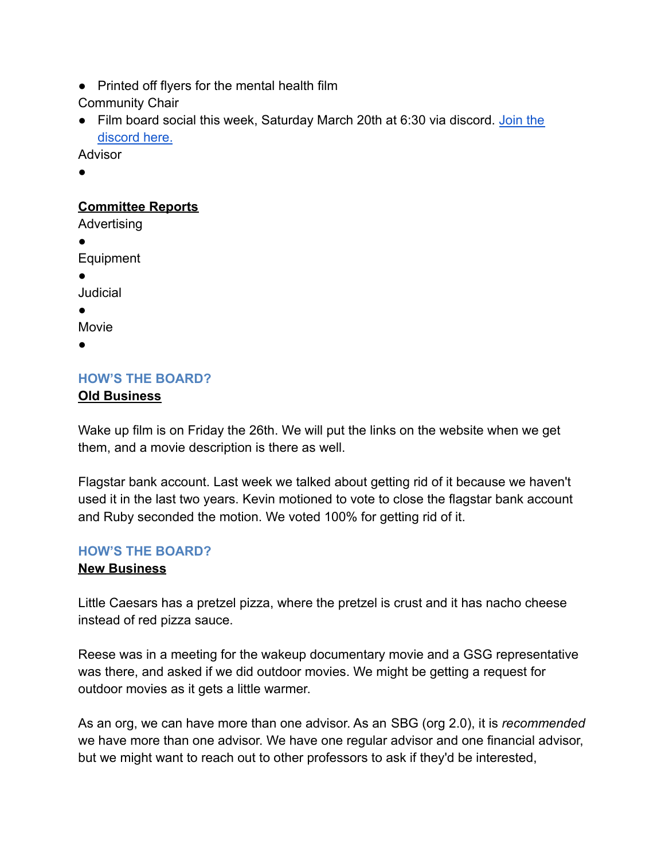● Printed off flyers for the mental health film

Community Chair

● Film board social this week, Saturday March 20th at 6:30 via discord. [Join the](https://discord.gg/T63QNta6) [discord here.](https://discord.gg/T63QNta6)

Advisor

●

## **Committee Reports**

Advertising

●

Equipment

●

Judicial

●

Movie

●

# **HOW'S THE BOARD? Old Business**

Wake up film is on Friday the 26th. We will put the links on the website when we get them, and a movie description is there as well.

Flagstar bank account. Last week we talked about getting rid of it because we haven't used it in the last two years. Kevin motioned to vote to close the flagstar bank account and Ruby seconded the motion. We voted 100% for getting rid of it.

## **HOW'S THE BOARD?**

## **New Business**

Little Caesars has a pretzel pizza, where the pretzel is crust and it has nacho cheese instead of red pizza sauce.

Reese was in a meeting for the wakeup documentary movie and a GSG representative was there, and asked if we did outdoor movies. We might be getting a request for outdoor movies as it gets a little warmer.

As an org, we can have more than one advisor. As an SBG (org 2.0), it is *recommended* we have more than one advisor. We have one regular advisor and one financial advisor, but we might want to reach out to other professors to ask if they'd be interested,